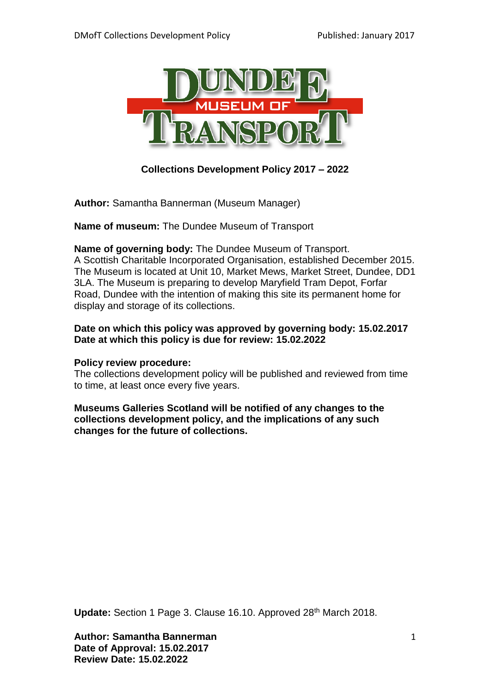

**Collections Development Policy 2017 – 2022**

**Author:** Samantha Bannerman (Museum Manager)

**Name of museum:** The Dundee Museum of Transport

#### **Name of governing body:** The Dundee Museum of Transport.

A Scottish Charitable Incorporated Organisation, established December 2015. The Museum is located at Unit 10, Market Mews, Market Street, Dundee, DD1 3LA. The Museum is preparing to develop Maryfield Tram Depot, Forfar Road, Dundee with the intention of making this site its permanent home for display and storage of its collections.

#### **Date on which this policy was approved by governing body: 15.02.2017 Date at which this policy is due for review: 15.02.2022**

#### **Policy review procedure:**

The collections development policy will be published and reviewed from time to time, at least once every five years.

**Museums Galleries Scotland will be notified of any changes to the collections development policy, and the implications of any such changes for the future of collections.** 

Update: Section 1 Page 3. Clause 16.10. Approved 28<sup>th</sup> March 2018.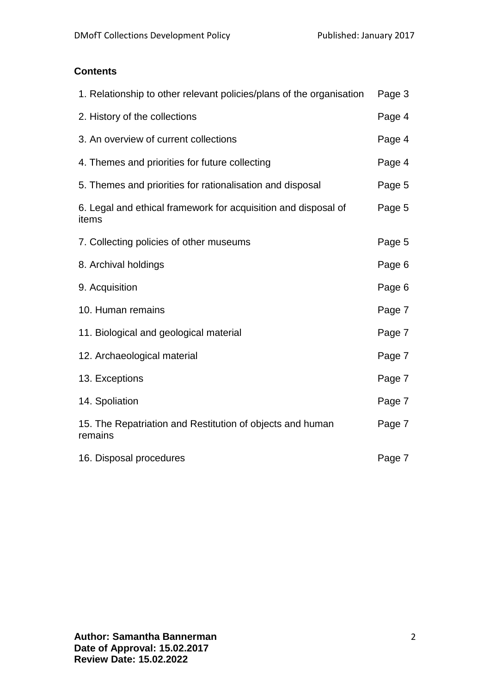## **Contents**

| 1. Relationship to other relevant policies/plans of the organisation    | Page 3 |
|-------------------------------------------------------------------------|--------|
| 2. History of the collections                                           | Page 4 |
| 3. An overview of current collections                                   | Page 4 |
| 4. Themes and priorities for future collecting                          | Page 4 |
| 5. Themes and priorities for rationalisation and disposal               | Page 5 |
| 6. Legal and ethical framework for acquisition and disposal of<br>items | Page 5 |
| 7. Collecting policies of other museums                                 | Page 5 |
| 8. Archival holdings                                                    | Page 6 |
| 9. Acquisition                                                          | Page 6 |
| 10. Human remains                                                       | Page 7 |
| 11. Biological and geological material                                  | Page 7 |
| 12. Archaeological material                                             | Page 7 |
| 13. Exceptions                                                          | Page 7 |
| 14. Spoliation                                                          | Page 7 |
| 15. The Repatriation and Restitution of objects and human<br>remains    | Page 7 |
| 16. Disposal procedures                                                 | Page 7 |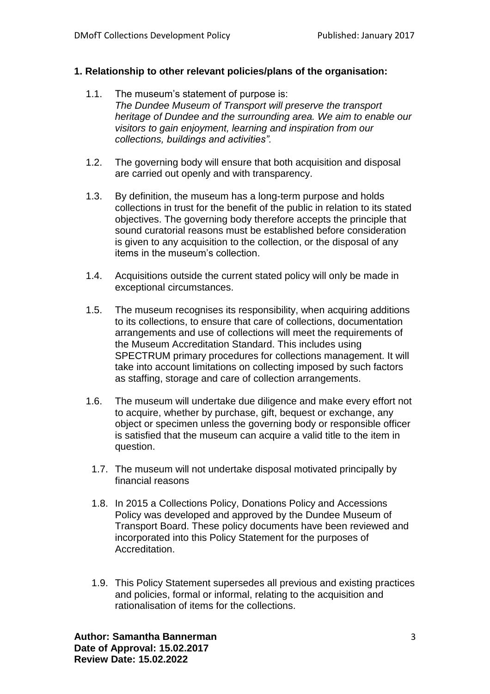## **1. Relationship to other relevant policies/plans of the organisation:**

- 1.1. The museum's statement of purpose is: *The Dundee Museum of Transport will preserve the transport heritage of Dundee and the surrounding area. We aim to enable our visitors to gain enjoyment, learning and inspiration from our collections, buildings and activities".*
- 1.2. The governing body will ensure that both acquisition and disposal are carried out openly and with transparency.
- 1.3. By definition, the museum has a long-term purpose and holds collections in trust for the benefit of the public in relation to its stated objectives. The governing body therefore accepts the principle that sound curatorial reasons must be established before consideration is given to any acquisition to the collection, or the disposal of any items in the museum's collection.
- 1.4. Acquisitions outside the current stated policy will only be made in exceptional circumstances.
- 1.5. The museum recognises its responsibility, when acquiring additions to its collections, to ensure that care of collections, documentation arrangements and use of collections will meet the requirements of the Museum Accreditation Standard. This includes using SPECTRUM primary procedures for collections management. It will take into account limitations on collecting imposed by such factors as staffing, storage and care of collection arrangements.
- 1.6. The museum will undertake due diligence and make every effort not to acquire, whether by purchase, gift, bequest or exchange, any object or specimen unless the governing body or responsible officer is satisfied that the museum can acquire a valid title to the item in question.
	- 1.7. The museum will not undertake disposal motivated principally by financial reasons
	- 1.8. In 2015 a Collections Policy, Donations Policy and Accessions Policy was developed and approved by the Dundee Museum of Transport Board. These policy documents have been reviewed and incorporated into this Policy Statement for the purposes of Accreditation.
	- 1.9. This Policy Statement supersedes all previous and existing practices and policies, formal or informal, relating to the acquisition and rationalisation of items for the collections.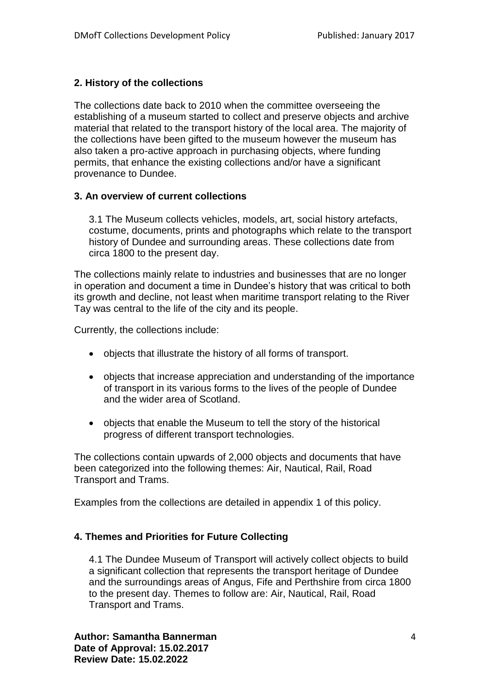## **2. History of the collections**

The collections date back to 2010 when the committee overseeing the establishing of a museum started to collect and preserve objects and archive material that related to the transport history of the local area. The majority of the collections have been gifted to the museum however the museum has also taken a pro-active approach in purchasing objects, where funding permits, that enhance the existing collections and/or have a significant provenance to Dundee.

## **3. An overview of current collections**

3.1 The Museum collects vehicles, models, art, social history artefacts, costume, documents, prints and photographs which relate to the transport history of Dundee and surrounding areas. These collections date from circa 1800 to the present day.

The collections mainly relate to industries and businesses that are no longer in operation and document a time in Dundee's history that was critical to both its growth and decline, not least when maritime transport relating to the River Tay was central to the life of the city and its people.

Currently, the collections include:

- objects that illustrate the history of all forms of transport.
- objects that increase appreciation and understanding of the importance of transport in its various forms to the lives of the people of Dundee and the wider area of Scotland.
- objects that enable the Museum to tell the story of the historical progress of different transport technologies.

The collections contain upwards of 2,000 objects and documents that have been categorized into the following themes: Air, Nautical, Rail, Road Transport and Trams.

Examples from the collections are detailed in appendix 1 of this policy.

## **4. Themes and Priorities for Future Collecting**

4.1 The Dundee Museum of Transport will actively collect objects to build a significant collection that represents the transport heritage of Dundee and the surroundings areas of Angus, Fife and Perthshire from circa 1800 to the present day. Themes to follow are: Air, Nautical, Rail, Road Transport and Trams.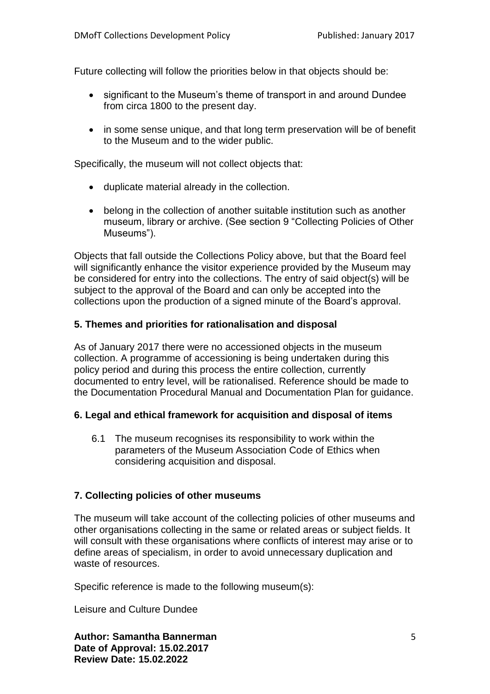Future collecting will follow the priorities below in that objects should be:

- significant to the Museum's theme of transport in and around Dundee from circa 1800 to the present day.
- in some sense unique, and that long term preservation will be of benefit to the Museum and to the wider public.

Specifically, the museum will not collect objects that:

- duplicate material already in the collection.
- belong in the collection of another suitable institution such as another museum, library or archive. (See section 9 "Collecting Policies of Other Museums").

Objects that fall outside the Collections Policy above, but that the Board feel will significantly enhance the visitor experience provided by the Museum may be considered for entry into the collections. The entry of said object(s) will be subject to the approval of the Board and can only be accepted into the collections upon the production of a signed minute of the Board's approval.

## **5. Themes and priorities for rationalisation and disposal**

As of January 2017 there were no accessioned objects in the museum collection. A programme of accessioning is being undertaken during this policy period and during this process the entire collection, currently documented to entry level, will be rationalised. Reference should be made to the Documentation Procedural Manual and Documentation Plan for guidance.

## **6. Legal and ethical framework for acquisition and disposal of items**

6.1 The museum recognises its responsibility to work within the parameters of the Museum Association Code of Ethics when considering acquisition and disposal.

## **7. Collecting policies of other museums**

The museum will take account of the collecting policies of other museums and other organisations collecting in the same or related areas or subject fields. It will consult with these organisations where conflicts of interest may arise or to define areas of specialism, in order to avoid unnecessary duplication and waste of resources.

Specific reference is made to the following museum(s):

Leisure and Culture Dundee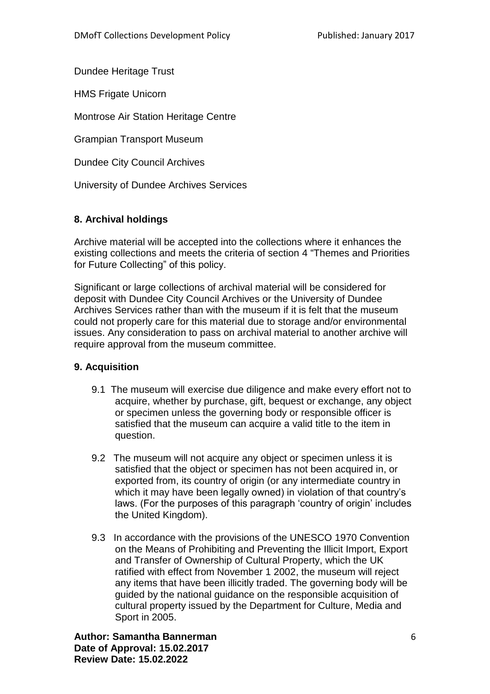Dundee Heritage Trust

HMS Frigate Unicorn

Montrose Air Station Heritage Centre

Grampian Transport Museum

Dundee City Council Archives

University of Dundee Archives Services

## **8. Archival holdings**

Archive material will be accepted into the collections where it enhances the existing collections and meets the criteria of section 4 "Themes and Priorities for Future Collecting" of this policy.

Significant or large collections of archival material will be considered for deposit with Dundee City Council Archives or the University of Dundee Archives Services rather than with the museum if it is felt that the museum could not properly care for this material due to storage and/or environmental issues. Any consideration to pass on archival material to another archive will require approval from the museum committee.

## **9. Acquisition**

- 9.1 The museum will exercise due diligence and make every effort not to acquire, whether by purchase, gift, bequest or exchange, any object or specimen unless the governing body or responsible officer is satisfied that the museum can acquire a valid title to the item in question.
- 9.2 The museum will not acquire any object or specimen unless it is satisfied that the object or specimen has not been acquired in, or exported from, its country of origin (or any intermediate country in which it may have been legally owned) in violation of that country's laws. (For the purposes of this paragraph 'country of origin' includes the United Kingdom).
- 9.3 In accordance with the provisions of the UNESCO 1970 Convention on the Means of Prohibiting and Preventing the Illicit Import, Export and Transfer of Ownership of Cultural Property, which the UK ratified with effect from November 1 2002, the museum will reject any items that have been illicitly traded. The governing body will be guided by the national guidance on the responsible acquisition of cultural property issued by the Department for Culture, Media and Sport in 2005.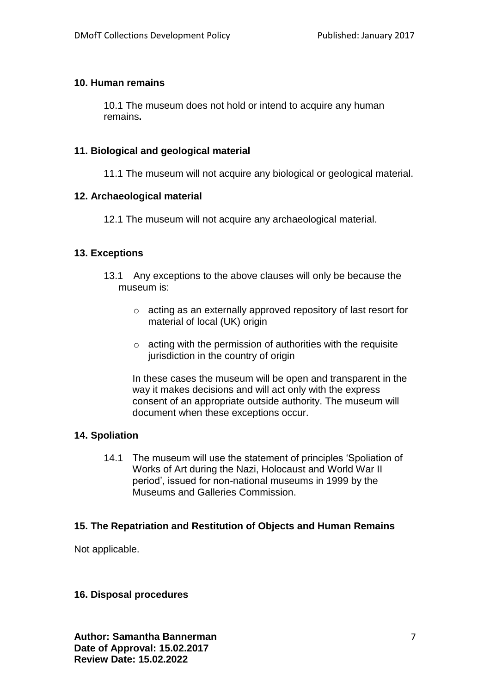#### **10. Human remains**

10.1 The museum does not hold or intend to acquire any human remains**.**

#### **11. Biological and geological material**

11.1 The museum will not acquire any biological or geological material.

#### **12. Archaeological material**

12.1 The museum will not acquire any archaeological material.

#### **13. Exceptions**

- 13.1 Any exceptions to the above clauses will only be because the museum is:
	- o acting as an externally approved repository of last resort for material of local (UK) origin
	- $\circ$  acting with the permission of authorities with the requisite jurisdiction in the country of origin

In these cases the museum will be open and transparent in the way it makes decisions and will act only with the express consent of an appropriate outside authority. The museum will document when these exceptions occur.

## **14. Spoliation**

14.1 The museum will use the statement of principles 'Spoliation of Works of Art during the Nazi, Holocaust and World War II period', issued for non-national museums in 1999 by the Museums and Galleries Commission.

#### **15. The Repatriation and Restitution of Objects and Human Remains**

Not applicable.

#### **16. Disposal procedures**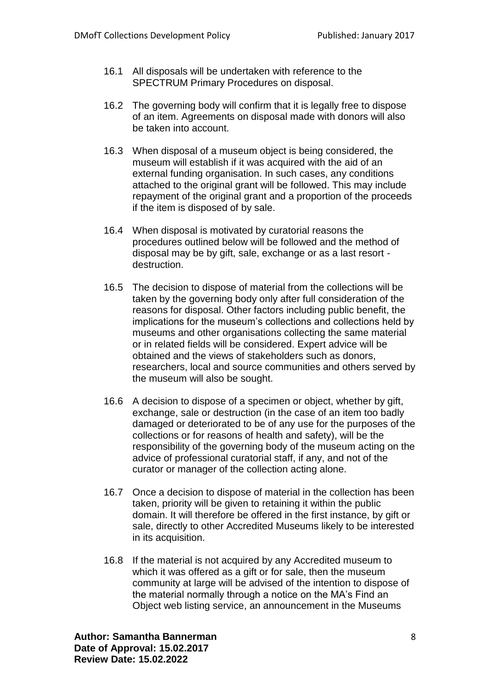- 16.1 All disposals will be undertaken with reference to the SPECTRUM Primary Procedures on disposal.
- 16.2 The governing body will confirm that it is legally free to dispose of an item. Agreements on disposal made with donors will also be taken into account.
- 16.3 When disposal of a museum object is being considered, the museum will establish if it was acquired with the aid of an external funding organisation. In such cases, any conditions attached to the original grant will be followed. This may include repayment of the original grant and a proportion of the proceeds if the item is disposed of by sale.
- 16.4 When disposal is motivated by curatorial reasons the procedures outlined below will be followed and the method of disposal may be by gift, sale, exchange or as a last resort destruction.
- 16.5 The decision to dispose of material from the collections will be taken by the governing body only after full consideration of the reasons for disposal. Other factors including public benefit, the implications for the museum's collections and collections held by museums and other organisations collecting the same material or in related fields will be considered. Expert advice will be obtained and the views of stakeholders such as donors, researchers, local and source communities and others served by the museum will also be sought.
- 16.6 A decision to dispose of a specimen or object, whether by gift, exchange, sale or destruction (in the case of an item too badly damaged or deteriorated to be of any use for the purposes of the collections or for reasons of health and safety), will be the responsibility of the governing body of the museum acting on the advice of professional curatorial staff, if any, and not of the curator or manager of the collection acting alone.
- 16.7 Once a decision to dispose of material in the collection has been taken, priority will be given to retaining it within the public domain. It will therefore be offered in the first instance, by gift or sale, directly to other Accredited Museums likely to be interested in its acquisition.
- 16.8 If the material is not acquired by any Accredited museum to which it was offered as a gift or for sale, then the museum community at large will be advised of the intention to dispose of the material normally through a notice on the MA's Find an Object web listing service, an announcement in the Museums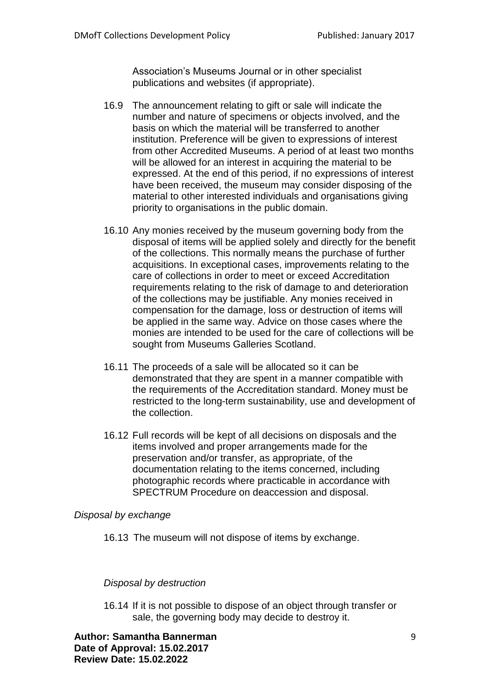Association's Museums Journal or in other specialist publications and websites (if appropriate).

- 16.9 The announcement relating to gift or sale will indicate the number and nature of specimens or objects involved, and the basis on which the material will be transferred to another institution. Preference will be given to expressions of interest from other Accredited Museums. A period of at least two months will be allowed for an interest in acquiring the material to be expressed. At the end of this period, if no expressions of interest have been received, the museum may consider disposing of the material to other interested individuals and organisations giving priority to organisations in the public domain.
- 16.10 Any monies received by the museum governing body from the disposal of items will be applied solely and directly for the benefit of the collections. This normally means the purchase of further acquisitions. In exceptional cases, improvements relating to the care of collections in order to meet or exceed Accreditation requirements relating to the risk of damage to and deterioration of the collections may be justifiable. Any monies received in compensation for the damage, loss or destruction of items will be applied in the same way. Advice on those cases where the monies are intended to be used for the care of collections will be sought from Museums Galleries Scotland.
- 16.11 The proceeds of a sale will be allocated so it can be demonstrated that they are spent in a manner compatible with the requirements of the Accreditation standard. Money must be restricted to the long-term sustainability, use and development of the collection.
- 16.12 Full records will be kept of all decisions on disposals and the items involved and proper arrangements made for the preservation and/or transfer, as appropriate, of the documentation relating to the items concerned, including photographic records where practicable in accordance with SPECTRUM Procedure on deaccession and disposal.

#### *Disposal by exchange*

16.13 The museum will not dispose of items by exchange.

#### *Disposal by destruction*

16.14 If it is not possible to dispose of an object through transfer or sale, the governing body may decide to destroy it.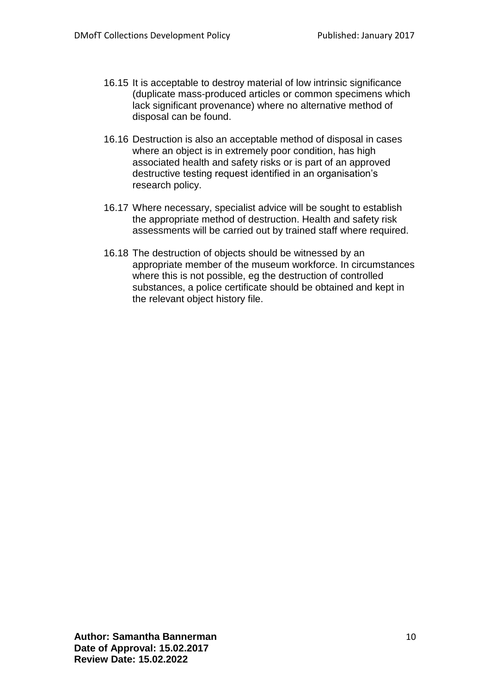- 16.15 It is acceptable to destroy material of low intrinsic significance (duplicate mass-produced articles or common specimens which lack significant provenance) where no alternative method of disposal can be found.
- 16.16 Destruction is also an acceptable method of disposal in cases where an object is in extremely poor condition, has high associated health and safety risks or is part of an approved destructive testing request identified in an organisation's research policy.
- 16.17 Where necessary, specialist advice will be sought to establish the appropriate method of destruction. Health and safety risk assessments will be carried out by trained staff where required.
- 16.18 The destruction of objects should be witnessed by an appropriate member of the museum workforce. In circumstances where this is not possible, eg the destruction of controlled substances, a police certificate should be obtained and kept in the relevant object history file.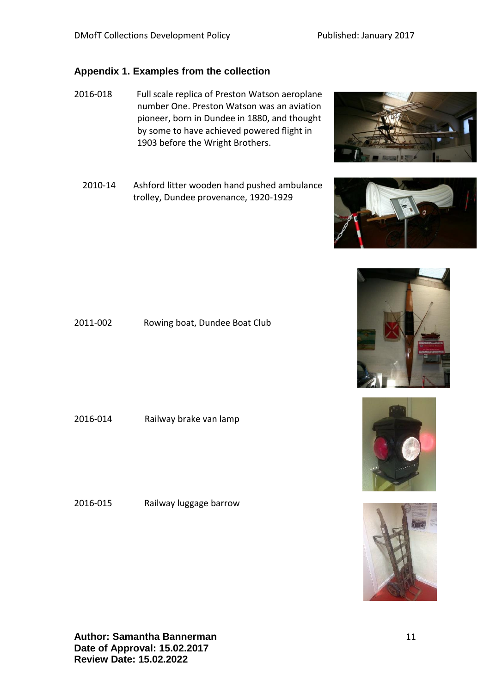# **Appendix 1. Examples from the collection**

- 2016-018 Full scale replica of Preston Watson aeroplane number One. Preston Watson was an aviation pioneer, born in Dundee in 1880, and thought by some to have achieved powered flight in 1903 before the Wright Brothers.
	- 2010-14 Ashford litter wooden hand pushed ambulance trolley, Dundee provenance, 1920-1929

2011-002 Rowing boat, Dundee Boat Club

2016-014 Railway brake van lamp

2016-015 Railway luggage barrow

11